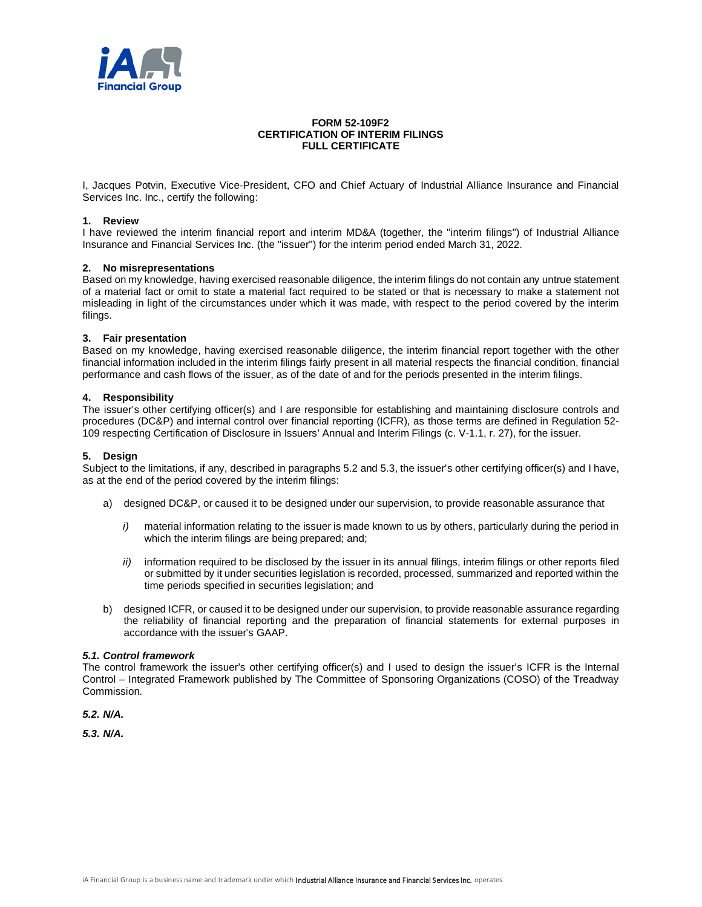

## **FORM 52-109F2 CERTIFICATION OF INTERIM FILINGS FULL CERTIFICATE**

I, Jacques Potvin, Executive Vice-President, CFO and Chief Actuary of Industrial Alliance Insurance and Financial Services Inc. Inc., certify the following:

### **1. Review**

I have reviewed the interim financial report and interim MD&A (together, the "interim filings") of Industrial Alliance Insurance and Financial Services Inc. (the "issuer") for the interim period ended March 31, 2022.

## **2. No misrepresentations**

Based on my knowledge, having exercised reasonable diligence, the interim filings do not contain any untrue statement of a material fact or omit to state a material fact required to be stated or that is necessary to make a statement not misleading in light of the circumstances under which it was made, with respect to the period covered by the interim filings.

#### **3. Fair presentation**

Based on my knowledge, having exercised reasonable diligence, the interim financial report together with the other financial information included in the interim filings fairly present in all material respects the financial condition, financial performance and cash flows of the issuer, as of the date of and for the periods presented in the interim filings.

## **4. Responsibility**

The issuer's other certifying officer(s) and I are responsible for establishing and maintaining disclosure controls and procedures (DC&P) and internal control over financial reporting (ICFR), as those terms are defined in Regulation 52- 109 respecting Certification of Disclosure in Issuers' Annual and Interim Filings (c. V-1.1, r. 27), for the issuer.

### **5. Design**

Subject to the limitations, if any, described in paragraphs 5.2 and 5.3, the issuer's other certifying officer(s) and I have, as at the end of the period covered by the interim filings:

- a) designed DC&P, or caused it to be designed under our supervision, to provide reasonable assurance that
	- *i)* material information relating to the issuer is made known to us by others, particularly during the period in which the interim filings are being prepared; and:
	- *ii)* information required to be disclosed by the issuer in its annual filings, interim filings or other reports filed or submitted by it under securities legislation is recorded, processed, summarized and reported within the time periods specified in securities legislation; and
- b) designed ICFR, or caused it to be designed under our supervision, to provide reasonable assurance regarding the reliability of financial reporting and the preparation of financial statements for external purposes in accordance with the issuer's GAAP.

#### *5.1. Control framework*

The control framework the issuer's other certifying officer(s) and I used to design the issuer's ICFR is the Internal Control – Integrated Framework published by The Committee of Sponsoring Organizations (COSO) of the Treadway Commission.

*5.2. N/A.*

*5.3. N/A.*